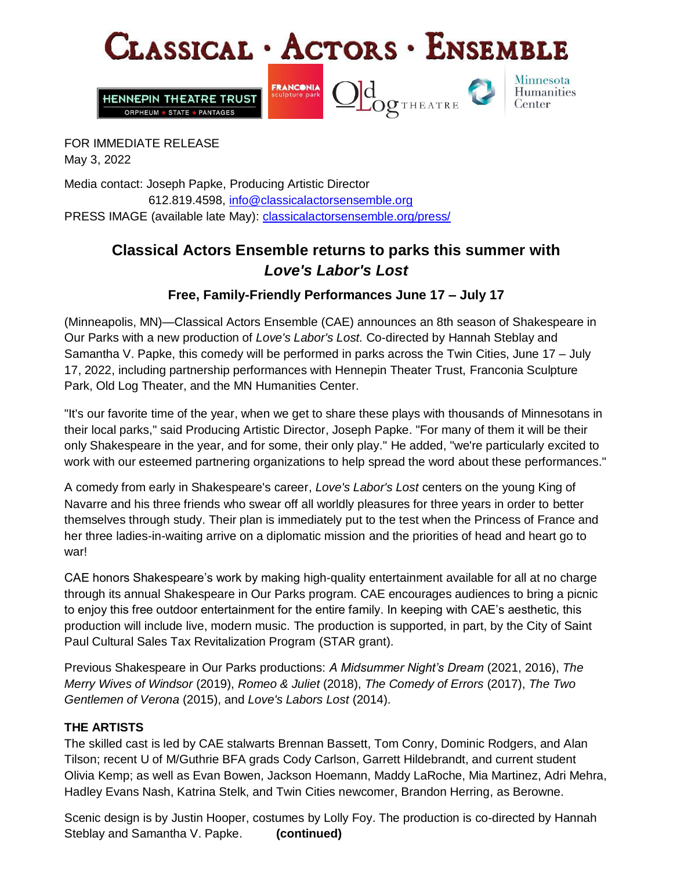

FOR IMMEDIATE RELEASE May 3, 2022

Media contact: Joseph Papke, Producing Artistic Director 612.819.4598, [info@classicalactorsensemble.org](mailto:info@classicalactorsensemble.org) PRESS IMAGE (available late May): [classicalactorsensemble.org/press/](http://classicalactorsensemble.org/press/)

# **Classical Actors Ensemble returns to parks this summer with** *Love's Labor's Lost*

## **Free, Family-Friendly Performances June 17 – July 17**

(Minneapolis, MN)—Classical Actors Ensemble (CAE) announces an 8th season of Shakespeare in Our Parks with a new production of *Love's Labor's Lost.* Co-directed by Hannah Steblay and Samantha V. Papke, this comedy will be performed in parks across the Twin Cities, June 17 – July 17, 2022, including partnership performances with Hennepin Theater Trust, Franconia Sculpture Park, Old Log Theater, and the MN Humanities Center.

"It's our favorite time of the year, when we get to share these plays with thousands of Minnesotans in their local parks," said Producing Artistic Director, Joseph Papke. "For many of them it will be their only Shakespeare in the year, and for some, their only play." He added, "we're particularly excited to work with our esteemed partnering organizations to help spread the word about these performances."

A comedy from early in Shakespeare's career, *Love's Labor's Lost* centers on the young King of Navarre and his three friends who swear off all worldly pleasures for three years in order to better themselves through study. Their plan is immediately put to the test when the Princess of France and her three ladies-in-waiting arrive on a diplomatic mission and the priorities of head and heart go to war!

CAE honors Shakespeare's work by making high-quality entertainment available for all at no charge through its annual Shakespeare in Our Parks program. CAE encourages audiences to bring a picnic to enjoy this free outdoor entertainment for the entire family. In keeping with CAE's aesthetic, this production will include live, modern music. The production is supported, in part, by the City of Saint Paul Cultural Sales Tax Revitalization Program (STAR grant).

Previous Shakespeare in Our Parks productions: *A Midsummer Night's Dream* (2021, 2016), *The Merry Wives of Windsor* (2019), *Romeo & Juliet* (2018), *The Comedy of Errors* (2017), *The Two Gentlemen of Verona* (2015), and *Love's Labors Lost* (2014).

### **THE ARTISTS**

The skilled cast is led by CAE stalwarts Brennan Bassett, Tom Conry, Dominic Rodgers, and Alan Tilson; recent U of M/Guthrie BFA grads Cody Carlson, Garrett Hildebrandt, and current student Olivia Kemp; as well as Evan Bowen, Jackson Hoemann, Maddy LaRoche, Mia Martinez, Adri Mehra, Hadley Evans Nash, Katrina Stelk, and Twin Cities newcomer, Brandon Herring, as Berowne.

Scenic design is by Justin Hooper, costumes by Lolly Foy. The production is co-directed by Hannah Steblay and Samantha V. Papke. **(continued)**